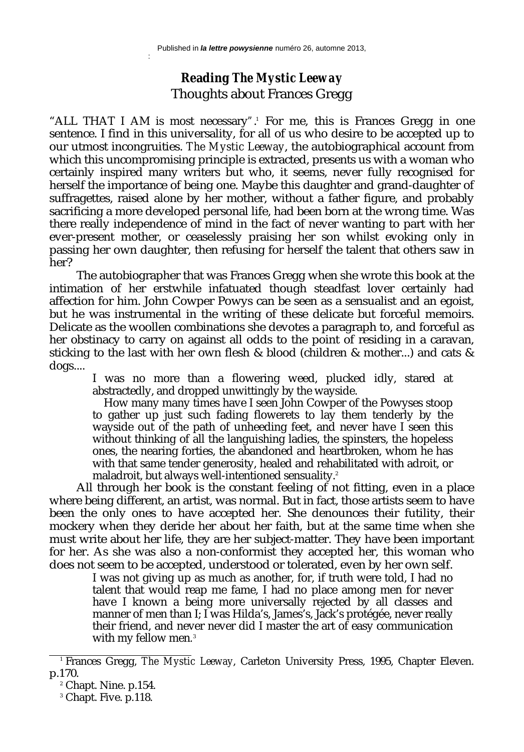:

## **Reading** *The Mystic Leeway* Thoughts about Frances Gregg

"ALL THAT I AM is most necessary".<sup>1</sup> For me, this is Frances Gregg in one sentence. I find in this universality, for all of us who desire to be accepted up to our utmost incongruities. *The Mystic Leeway*, the autobiographical account from which this uncompromising principle is extracted, presents us with a woman who certainly inspired many writers but who, it seems, never fully recognised for herself the importance of being one. Maybe this daughter and grand-daughter of suffragettes, raised alone by her mother, without a father figure, and probably sacrificing a more developed personal life, had been born at the wrong time. Was there really independence of mind in the fact of never wanting to part with her ever-present mother, or ceaselessly praising her son whilst evoking only in passing her own daughter, then refusing for herself the talent that others saw in her?

The autobiographer that was Frances Gregg when she wrote this book at the intimation of her erstwhile infatuated though steadfast lover certainly had affection for him. John Cowper Powys can be seen as a sensualist and an egoist, but he was instrumental in the writing of these delicate but forceful memoirs. Delicate as the woollen combinations she devotes a paragraph to, and forceful as her obstinacy to carry on against all odds to the point of residing in a caravan, sticking to the last with her own flesh & blood (children & mother...) and cats & dogs....

I was no more than a flowering weed, plucked idly, stared at abstractedly, and dropped unwittingly by the wayside.

How many many times have I seen John Cowper of the Powyses stoop to gather up just such fading flowerets to lay them tenderly by the wayside out of the path of unheeding feet, and never have I seen this without thinking of all the languishing ladies, the spinsters, the hopeless ones, the nearing forties, the abandoned and heartbroken, whom he has with that same tender generosity, healed and rehabilitated with adroit, or maladroit, but always well-intentioned sensuality.<sup>2</sup>

All through her book is the constant feeling of not fitting, even in a place where being different, an artist, was normal. But in fact, those artists seem to have been the only ones to have accepted her. She denounces their futility, their mockery when they deride her about her faith, but at the same time when she must write about her life, they are her subject-matter. They have been important for her. As she was also a non-conformist they accepted her, this woman who does not seem to be accepted, understood or tolerated, even by her own self.

I was not giving up as much as another, for, if truth were told, I had no talent that would reap me fame, I had no place among men for never have I known a being more universally rejected by all classes and manner of men than I; I was Hilda's, James's, Jack's protégée, never really their friend, and never never did I master the art of easy communication with my fellow men*.* 3

<sup>1</sup> Frances Gregg, *The Mystic Leeway*, Carleton University Press, 1995, Chapter Eleven. p.170.

 $^{\circ}$  Chapt. Nine. p.154.

<sup>3</sup> Chapt. Five. p.118.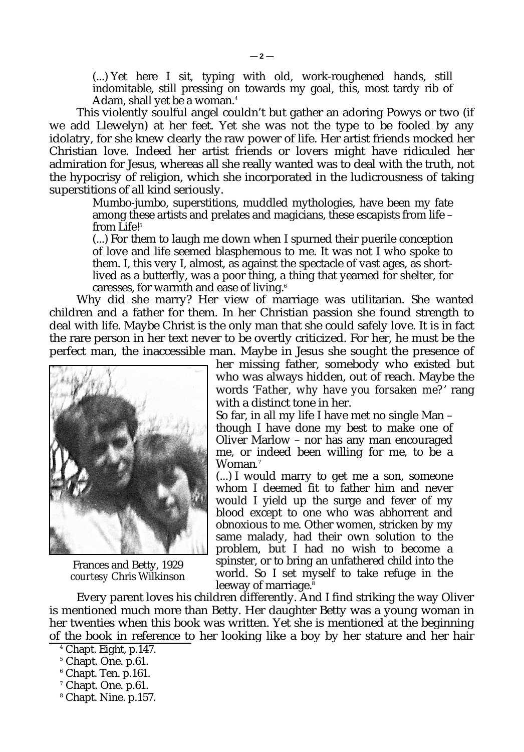(...) Yet here I sit, typing with old, work-roughened hands, still indomitable, still pressing on towards my goal, this, most tardy rib of Adam, shall yet be a woman. 4

This violently soulful angel couldn't but gather an adoring Powys or two (if we add Llewelyn) at her feet. Yet she was not the type to be fooled by any idolatry, for she knew clearly the raw power of life. Her artist friends mocked her Christian love. Indeed her artist friends or lovers might have ridiculed her admiration for Jesus, whereas all she really wanted was to deal with the truth, not the hypocrisy of religion, which she incorporated in the ludicrousness of taking superstitions of all kind seriously.

Mumbo-jumbo, superstitions, muddled mythologies, have been my fate among these artists and prelates and magicians, these escapists from life – from Life!<sup>5</sup>

(...) For them to laugh me down when I spurned their puerile conception of love and life seemed blasphemous to me. It was not I who spoke to them. I, this very I, almost, as against the spectacle of vast ages, as shortlived as a butterfly, was a poor thing, a thing that yearned for shelter, for caresses, for warmth and ease of living.<sup>6</sup>

Why did she marry? Her view of marriage was utilitarian. She wanted children and a father for them. In her Christian passion she found strength to deal with life. Maybe Christ is the only man that she could safely love. It is in fact the rare person in her text never to be overtly criticized. For her, he must be the perfect man, the inaccessible man. Maybe in Jesus she sought the presence of



Frances and Betty, 1929 *courtesy* Chris Wilkinson

her missing father, somebody who existed but who was always hidden, out of reach. Maybe the words '*Father, why have you forsaken me?*' rang with a distinct tone in her.

So far, in all my life I have met no single Man – though I have done my best to make one of Oliver Marlow – nor has any man encouraged me, or indeed been willing for me, to be a Woman*.* 7

(...) I would marry to get me a son, someone whom I deemed fit to father him and never would I yield up the surge and fever of my blood except to one who was abhorrent and obnoxious to me. Other women, stricken by my same malady, had their own solution to the problem, but I had no wish to become a spinster, or to bring an unfathered child into the world. So I set myself to take refuge in the leeway of marriage. $8$ 

Every parent loves his children differently. And I find striking the way Oliver is mentioned much more than Betty. Her daughter Betty was a young woman in her twenties when this book was written. Yet she is mentioned at the beginning of the book in reference to her looking like a boy by her stature and her hair

<sup>4</sup> Chapt. Eight, p.147.

<sup>5</sup> Chapt. One. p.61.

<sup>6</sup> Chapt. Ten. p.161.

<sup>7</sup> Chapt. One. p.61.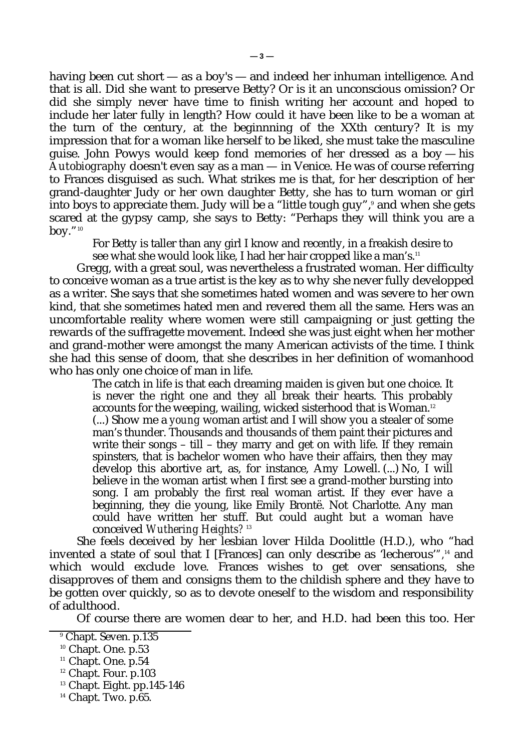having been cut short — as a boy's — and indeed her inhuman intelligence. And that is all. Did she want to preserve Betty? Or is it an unconscious omission? Or did she simply never have time to finish writing her account and hoped to include her later fully in length? How could it have been like to be a woman at the turn of the century, at the beginnning of the XXth century? It is my impression that for a woman like herself to be liked, she must take the masculine guise. John Powys would keep fond memories of her dressed as a boy — his *Autobiography* doesn't even say as a man — in Venice. He was of course referring to Frances disguised as such. What strikes me is that, for her description of her grand-daughter Judy or her own daughter Betty, she has to turn woman or girl into boys to appreciate them. Judy will be a "little tough guy",ª and when she gets scared at the gypsy camp, she says to Betty: "Perhaps they will think you are a boy." $10$ 

For Betty is taller than any girl I know and recently, in a freakish desire to see what she would look like, I had her hair cropped like a man's.<sup>11</sup>

Gregg, with a great soul, was nevertheless a frustrated woman. Her difficulty to conceive woman as a true artist is the key as to why she never fully developped as a writer. She says that she sometimes hated women and was severe to her own kind, that she sometimes hated men and revered them all the same. Hers was an uncomfortable reality where women were still campaigning or just getting the rewards of the suffragette movement. Indeed she was just eight when her mother and grand-mother were amongst the many American activists of the time. I think she had this sense of doom, that she describes in her definition of womanhood who has only one choice of man in life.

The catch in life is that each dreaming maiden is given but one choice. It is never the right one and they all break their hearts. This probably accounts for the weeping, wailing, wicked sisterhood that is Woman.<sup>12</sup> (...) Show me a *young* woman artist and I will show you a stealer of some man's thunder. Thousands and thousands of them paint their pictures and write their songs – till – they marry and get on with life. If they remain spinsters, that is bachelor women who have their affairs, then they may develop this abortive art, as, for instance, Amy Lowell. (...) No, I will believe in the woman artist when I first see a grand-mother bursting into song. I am probably the first real woman artist. If they ever have a beginning, they die young, like Emily Brontë. Not Charlotte. Any man could have written her stuff. But could aught but a woman have conceived *Wuthering Heights*? 13

She feels deceived by her lesbian lover Hilda Doolittle (H.D.), who "had invented a state of soul that I [Frances] can only describe as 'lecherous'*",*<sup>14</sup> and which would exclude love. Frances wishes to get over sensations, she disapproves of them and consigns them to the childish sphere and they have to be gotten over quickly, so as to devote oneself to the wisdom and responsibility of adulthood.

Of course there are women dear to her, and H.D. had been this too. Her

<sup>9</sup> Chapt. Seven. p.135

<sup>&</sup>lt;sup>10</sup> Chapt. One. p.53

<sup>&</sup>lt;sup>11</sup> Chapt. One. p.54

<sup>&</sup>lt;sup>12</sup> Chapt. Four. p.103

 $13$  Chapt. Eight. pp. 145-146

<sup>&</sup>lt;sup>14</sup> Chapt. Two. p.65.